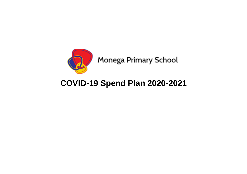

## **COVID-19 Spend Plan 2020-2021**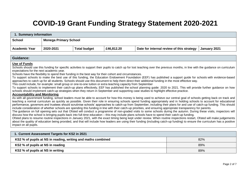## **COVID-19 Grant Funding Strategy Statement 2020-2021**

| Summary information  |                              |                     |            |                                           |              |  |  |  |
|----------------------|------------------------------|---------------------|------------|-------------------------------------------|--------------|--|--|--|
| School               | <b>Monega Primary School</b> |                     |            |                                           |              |  |  |  |
| <b>Academic Year</b> | 2020-2021                    | <b>Total budget</b> | £46,812.20 | Date for internal review of this strategy | January 2021 |  |  |  |

| <b>Guidance:</b>                                                                                                                                                                                                                                                                                                                                                                                                                                                                                                                                                                                                                                                                                                                                                                                                                                                                                                                                                                                                                                                                                                                                                                                                                                                                                                                                                                                                                                                                                                                                                                                                                                                                                                                                                                                                                                                                                                                                                                                                                                                                                                                                                                                                                                                                                                                                                                                                                                                                                                                                                                          |     |
|-------------------------------------------------------------------------------------------------------------------------------------------------------------------------------------------------------------------------------------------------------------------------------------------------------------------------------------------------------------------------------------------------------------------------------------------------------------------------------------------------------------------------------------------------------------------------------------------------------------------------------------------------------------------------------------------------------------------------------------------------------------------------------------------------------------------------------------------------------------------------------------------------------------------------------------------------------------------------------------------------------------------------------------------------------------------------------------------------------------------------------------------------------------------------------------------------------------------------------------------------------------------------------------------------------------------------------------------------------------------------------------------------------------------------------------------------------------------------------------------------------------------------------------------------------------------------------------------------------------------------------------------------------------------------------------------------------------------------------------------------------------------------------------------------------------------------------------------------------------------------------------------------------------------------------------------------------------------------------------------------------------------------------------------------------------------------------------------------------------------------------------------------------------------------------------------------------------------------------------------------------------------------------------------------------------------------------------------------------------------------------------------------------------------------------------------------------------------------------------------------------------------------------------------------------------------------------------------|-----|
| <b>Use of Funds</b><br>Schools should use this funding for specific activities to support their pupils to catch up for lost teaching over the previous months, in line with the guidance on curriculum<br>expectations for the next academic year.<br>Schools have the flexibility to spend their funding in the best way for their cohort and circumstances.<br>To support schools to make the best use of this funding, the Education Endowment Foundation (EEF) has published a support guide for schools with evidence-based<br>approaches to catch up for all students. Schools should use this document to help them direct their additional funding in the most effective way.<br>This could include, for example: small group or one-to-one tuition or extra teaching capacity from September<br>To support schools to implement their catch-up plans effectively, EEF has published the school planning guide: 2020 to 2021. This will provide further guidance on how<br>schools should implement catch-up strategies when they return in September and supporting case studies to highlight effective practice.<br><b>Accountability and Monitoring</b><br>As with all government funding, school leaders must be able to account for how this money is being used to achieve our central goal of schools getting back on track and<br>teaching a normal curriculum as quickly as possible. Given their role in ensuring schools spend funding appropriately and in holding schools to account for educational<br>performance, governors and trustees should scrutinise schools' approaches to catch-up from September, including their plans for and use of catch-up funding. This should<br>include consideration of whether schools are spending this funding in line with their catch-up priorities, and ensuring appropriate transparency for parents.<br>The guidance on full opening sets out that Ofsted will conduct a programme of non-graded visits to some schools during the autumn. During these visits, inspectors will<br>discuss how the school is bringing pupils back into full-time education – this may include plans schools have to spend their catch-up funding.<br>Ofsted plans to resume routine inspections in January 2021, with the exact timing being kept under review. When routine inspections restart, Ofsted will make judgements<br>about the quality of education being provided, and that will include how leaders are using their funding (including catch-up funding) to ensure the curriculum has a positive<br>impact on all pupils. |     |
| 1. Current Assessment Targets for KS2 in 2021                                                                                                                                                                                                                                                                                                                                                                                                                                                                                                                                                                                                                                                                                                                                                                                                                                                                                                                                                                                                                                                                                                                                                                                                                                                                                                                                                                                                                                                                                                                                                                                                                                                                                                                                                                                                                                                                                                                                                                                                                                                                                                                                                                                                                                                                                                                                                                                                                                                                                                                                             |     |
| KS2 % of pupils at NS in reading, writing and maths combined                                                                                                                                                                                                                                                                                                                                                                                                                                                                                                                                                                                                                                                                                                                                                                                                                                                                                                                                                                                                                                                                                                                                                                                                                                                                                                                                                                                                                                                                                                                                                                                                                                                                                                                                                                                                                                                                                                                                                                                                                                                                                                                                                                                                                                                                                                                                                                                                                                                                                                                              | 82% |
| KS2 % of pupils at NS in reading                                                                                                                                                                                                                                                                                                                                                                                                                                                                                                                                                                                                                                                                                                                                                                                                                                                                                                                                                                                                                                                                                                                                                                                                                                                                                                                                                                                                                                                                                                                                                                                                                                                                                                                                                                                                                                                                                                                                                                                                                                                                                                                                                                                                                                                                                                                                                                                                                                                                                                                                                          | 89% |

**KS2 % of pupils at NS in writing 89% KS2 % of pupils at NS in writing**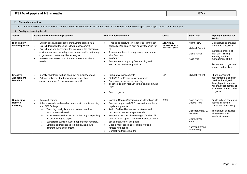## **KS2 % of pupils at NS in maths** 87%

## **2. Planned expenditure**

The three headings below enable schools to demonstrate how they are using the COVID-19 Catch-up Grant for targeted support and support whole school strategies.

| i. Quality of teaching for all                           |                                                                                                                                                                                                                                                                                                                                                                                                                                                                        |                                                                                                                                                                                                                                                                                                                                                                                                                                                                                                                                   |                                                   |                                                                                                                             |                                                                                                                                                                                               |  |  |
|----------------------------------------------------------|------------------------------------------------------------------------------------------------------------------------------------------------------------------------------------------------------------------------------------------------------------------------------------------------------------------------------------------------------------------------------------------------------------------------------------------------------------------------|-----------------------------------------------------------------------------------------------------------------------------------------------------------------------------------------------------------------------------------------------------------------------------------------------------------------------------------------------------------------------------------------------------------------------------------------------------------------------------------------------------------------------------------|---------------------------------------------------|-----------------------------------------------------------------------------------------------------------------------------|-----------------------------------------------------------------------------------------------------------------------------------------------------------------------------------------------|--|--|
| <b>Action</b>                                            | Questions to consider/approaches:                                                                                                                                                                                                                                                                                                                                                                                                                                      | How will you achieve it?                                                                                                                                                                                                                                                                                                                                                                                                                                                                                                          | Costs                                             | <b>Staff Lead</b>                                                                                                           | Impact/Outcomes for<br><b>Pupils</b>                                                                                                                                                          |  |  |
| <b>High-quality</b><br>teaching for all                  | English specialist teacher team teaching across KS2<br>$\bullet$<br>Explicit, focussed teaching following assessment<br>$\bullet$<br>Explicit teaching behaviours for learning in the classroom<br>$\bullet$<br>environment such as independence and resilience through<br>cognitive and meta-cognitive strategies<br>Interventions, wave 2 and 3 across the school where<br>$\bullet$<br>needed                                                                       | Hired specialist English teacher to team teach<br>$\bullet$<br>across KS2 to ensure high quality teaching for<br>all<br>Assessment Lead to analyse gaps and share<br>$\bullet$<br>with Teachers<br>Staff CPD<br>$\bullet$<br>Support to make quality first teaching and<br>$\bullet$<br>learning as precise as possible.                                                                                                                                                                                                          | £18,433.20<br>X2 days AT team<br>teaching/support | Adam Terry<br><b>Michael Patient</b><br>Claire James<br>Katie Ives                                                          | Quick return to previous<br>standards of learning<br>Increased oracy e of<br>their own thinking/<br>learning and the<br>management of this<br>Accelerated progress of<br>sounds and spelling. |  |  |
| <b>Effective</b><br><b>Assessment</b><br><b>Baseline</b> | Identify what learning has been lost or misunderstood<br>$\bullet$<br>Balance between standardised assessment and<br>$\bullet$<br>classroom-based formative assessment?                                                                                                                                                                                                                                                                                                | <b>Summative Assessments</b><br>$\bullet$<br>Staff CPD for Formative Assessments<br>$\bullet$<br>Gaps analysis of missed learning<br>$\bullet$<br>Teachers to plan medium term plans identifying<br>$\bullet$<br>gaps<br>Pupil progress<br>$\bullet$                                                                                                                                                                                                                                                                              | N/A                                               | <b>Michael Patient</b>                                                                                                      | Sharp, consistent<br>assessments tracked in<br>detail and analysed<br>through pupil progress<br>will enable refinement of<br>all intervention and drive<br>progress.                          |  |  |
| <b>Supporting</b><br>Remote<br>Learning                  | Remote Learning<br>$\bullet$<br>Adhere to evidence based approaches to remote learning<br>$\bullet$<br>from EEF findings<br>Teaching quality is more important than how<br>$\circ$<br>lessons are delivered.<br>Have we ensured access to technology – especially<br>$\circ$<br>for disadvantaged pupils?<br>Support for pupils to work independently remotely.<br>$\circ$<br>Different approaches to remote learning suits<br>$\circ$<br>different tasks and content. | Invest in Google Classroom and Marvellous Me<br>$\bullet$<br>Provide support and CPD training for teachers,<br>$\bullet$<br>pupils and parents.<br>Audit of all families access to internet and<br>$\bullet$<br>devices via teacher telephone calls<br>Support access for disadvantaged families if it<br>$\bullet$<br>enables catch up or if not internet access- work<br>packs prepared for this pupils<br>Google meet sessions for pupils working<br>$\bullet$<br>remotely if needed<br>Contact via Marvellous Me<br>$\bullet$ | £639                                              | Saira Soobye<br>Cuong Tring<br>Class teachers, CJ<br>to collate<br>Claire James<br>Sarah O<br>Nazreen Faroog<br>Fatema Raja | Pupils fully competent in<br>accessing google<br>classroom consistently<br>The amount of devices<br>within vulnerable<br>families increases                                                   |  |  |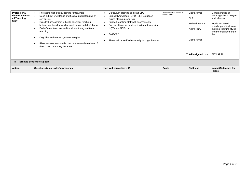| Professional<br>development for<br>all Teaching<br><b>Staff</b> | Prioritising high quality training for teachers<br>Deep subject knowledge and flexible understanding of<br>curriculum.<br>Excellent assessment is key to excellent teaching -<br>helping teachers know what pupils know and don't know.<br>Early Career teachers additional mentoring and team<br>teaching<br>Cognitive and meta-cognitive strategies<br>Risks assessments carried out to ensure all members of<br>the school community feel safe | Curriculum Training and staff CPD<br>Subject Knowledge -CPD. SLT to support<br>during planning evenings<br>Support teaching staff with assessments<br>Specialist teacher employed to team teach with<br>NOTs and NOT+1s<br>Staff CPD<br>These will be verified externally through the trust | Story telling CPD- already<br>added below | Claire James<br><b>SLT</b><br><b>Michael Patient</b><br>Adam Terry<br>Claire James | Consistent use of<br>metacognitive strategies<br>in all classes<br>Pupils Increased<br>knowledge of their own<br>thinking/ learning styles<br>and the management of<br>this |  |  |
|-----------------------------------------------------------------|---------------------------------------------------------------------------------------------------------------------------------------------------------------------------------------------------------------------------------------------------------------------------------------------------------------------------------------------------------------------------------------------------------------------------------------------------|---------------------------------------------------------------------------------------------------------------------------------------------------------------------------------------------------------------------------------------------------------------------------------------------|-------------------------------------------|------------------------------------------------------------------------------------|-----------------------------------------------------------------------------------------------------------------------------------------------------------------------------|--|--|
| <b>Total budgeted cost</b>                                      |                                                                                                                                                                                                                                                                                                                                                                                                                                                   |                                                                                                                                                                                                                                                                                             |                                           |                                                                                    |                                                                                                                                                                             |  |  |
| ii. Targeted academic support                                   |                                                                                                                                                                                                                                                                                                                                                                                                                                                   |                                                                                                                                                                                                                                                                                             |                                           |                                                                                    |                                                                                                                                                                             |  |  |
| Action                                                          | Questions to consider/approaches:                                                                                                                                                                                                                                                                                                                                                                                                                 | How will you achieve it?                                                                                                                                                                                                                                                                    | <b>Costs</b>                              | Staff lead                                                                         | <b>Impact/Outcomes for</b><br><b>Pupils</b>                                                                                                                                 |  |  |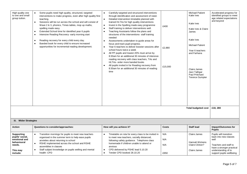| High quality one<br>to one and small<br>group tuition.                                     | Some pupils need high quality, structured, targeted<br>$\bullet$<br>interventions to make progress, even after high quality first<br>teaching.<br>Sessions will be run across the school and will consist of<br>$\bullet$<br>Wave 2 & 3, phonics, Times tables, mop up maths,<br>spelling made easy.<br>Extended School time for identified year 6 pupils<br>$\bullet$<br>Intensive Reading Recovery- early morning start<br>$\bullet$<br>Reading recovery for every child every day.<br>$\bullet$<br>Banded book for every child to ensure increased<br>$\bullet$<br>opportunities for incremental reading development. | Carefully targeted and structured interventions<br>$\bullet$<br>through identification and assessment of need.<br>Detailed intervention timetable planned with<br>$\bullet$<br>trained HLTAs for high quality interventions<br>Invest in the Spelling made easy programme<br>$\bullet$<br>$\bullet$<br>Staff training to deliver interventions well.<br>Teaching Assistants follow the plans and<br>$\bullet$<br>structures of the interventions- staff training<br>needed<br>Assessments undertaken to guide areas for<br>$\bullet$<br>focus and track pupil progress.<br>Year 6 teachers to deliver booster sessions after<br>$\bullet$<br>school hours twice a week<br>All PP pupils and lowest 20% must arrive by<br>$\bullet$<br>8:30am for an additional 30 minutes of intensive<br>reading recovery with class teachers, TAs and<br>HLTAs- order more banded books<br>All pupils invited in for Reading recovery from<br>$\bullet$<br>8:30am for an additional 30 minutes of reading<br>time | £400<br>£2,880<br>£15,000 | <b>Michael Patient</b><br>Katie Ives<br>Katie Ives<br>Katie Ives & Claire<br>James<br>Katie Ives<br><b>Michael Patient</b><br>Year 6 teachers<br>and Farhana<br>Claire James<br>Jazz Tathgar<br>Paul Pritchard<br><b>Terence Sumpter</b> | Accelerated progress for<br>identified groups to meet<br>age related expectations<br>and beyond               |
|--------------------------------------------------------------------------------------------|--------------------------------------------------------------------------------------------------------------------------------------------------------------------------------------------------------------------------------------------------------------------------------------------------------------------------------------------------------------------------------------------------------------------------------------------------------------------------------------------------------------------------------------------------------------------------------------------------------------------------|-----------------------------------------------------------------------------------------------------------------------------------------------------------------------------------------------------------------------------------------------------------------------------------------------------------------------------------------------------------------------------------------------------------------------------------------------------------------------------------------------------------------------------------------------------------------------------------------------------------------------------------------------------------------------------------------------------------------------------------------------------------------------------------------------------------------------------------------------------------------------------------------------------------------------------------------------------------------------------------------------------|---------------------------|------------------------------------------------------------------------------------------------------------------------------------------------------------------------------------------------------------------------------------------|---------------------------------------------------------------------------------------------------------------|
|                                                                                            |                                                                                                                                                                                                                                                                                                                                                                                                                                                                                                                                                                                                                          |                                                                                                                                                                                                                                                                                                                                                                                                                                                                                                                                                                                                                                                                                                                                                                                                                                                                                                                                                                                                     |                           | <b>Total budgeted cost</b>                                                                                                                                                                                                               | £18, 280                                                                                                      |
| iii. Wider Strategies                                                                      |                                                                                                                                                                                                                                                                                                                                                                                                                                                                                                                                                                                                                          |                                                                                                                                                                                                                                                                                                                                                                                                                                                                                                                                                                                                                                                                                                                                                                                                                                                                                                                                                                                                     |                           |                                                                                                                                                                                                                                          |                                                                                                               |
| Action                                                                                     | Questions to consider/approaches:                                                                                                                                                                                                                                                                                                                                                                                                                                                                                                                                                                                        | How will you achieve it?                                                                                                                                                                                                                                                                                                                                                                                                                                                                                                                                                                                                                                                                                                                                                                                                                                                                                                                                                                            | <b>Costs</b>              | <b>Staff lead</b>                                                                                                                                                                                                                        | Impact/Outcomes for<br><b>Pupils</b>                                                                          |
| <b>Supporting</b><br>pupils' social,<br>emotional and<br>behavioural<br>needs.<br>This may | Transition mornings for pupils to meet new teachers<br>organised in the summer term to help ease pupils<br>anxieties about returning to school<br>RSHE implemented across the school and RSHE<br>$\bullet$<br>assemblies in classes<br>Staff subject knowledge on pupils welling and mental                                                                                                                                                                                                                                                                                                                              | Timetable on rota for every class to be invited in<br>$\bullet$<br>to meet new teachers, socially distanced,<br>following safety guidance. Telephone class<br>homemade if children unable to attend or<br>anxious<br>CPD delivered by PSHE lead 5.10.20<br>$\bullet$                                                                                                                                                                                                                                                                                                                                                                                                                                                                                                                                                                                                                                                                                                                                | N/A<br>N/A<br>N/A         | Claire James<br>Hannah Wickens<br>Claire Clinton?                                                                                                                                                                                        | Pupils will transition<br>back into new classes<br>well<br>Teachers and staff to<br>have a stronger practical |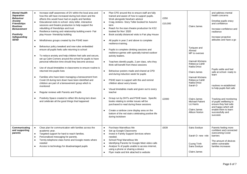| <b>Mental Health</b><br><b>Separation</b><br><b>Behaviour</b><br>Anxiety<br><b>Friendships</b><br><b>Routines</b><br><b>Bereavement</b><br><b>Positivity</b><br>Safeguarding<br><b>SEND</b> | $\bullet$<br>$\bullet$<br>$\bullet$<br>$\bullet$<br>$\bullet$<br>$\bullet$ | Increase staff awareness of DV within the local area and<br>how this will have increased during lock down and the<br>effects this would have had on pupils and families<br>Educational visits to school- story teller, interactive<br>sessions and theatre production to help support the<br>rebuilding of friendships and trust<br>Resilience training and relationship building event- Fair<br>play House- friendship building<br>Mindfulness groups created by the PSHE team<br>Behaviour policy tweaked and new rules embedded<br>ensure all pupils feels safe returning to school<br>To reduce anxiety and help children feel safe and secure,<br>set up Calm Corners around the school for pupils to have<br>personal reflection time should they become anxious<br>Use of visual timetables in classrooms to ensure routine is<br>returned into pupils lives<br>Families who have been managing a bereavement from<br>Covid-19 during lock down have been identified and<br>children are part of a bereavement group which is<br>monitored<br>Regular reviews with Parents and Pupils<br>Positivity Space created to reflect life during lock down<br>and celebrate all the good things that happened | $\bullet$<br>$\bullet$<br>$\bullet$<br>$\bullet$<br>$\bullet$<br>$\bullet$<br>$\bullet$<br>$\bullet$<br>$\bullet$<br>$\bullet$<br>$\bullet$<br>$\bullet$ | Plan CPD around this to ensure staff are fully<br>trained and aware of how to support pupils.<br>Work alongside Newham advisor<br>Craig Jenkins- Story Teller booked for Autumn<br>term<br>Reach for the stars theatre production for KS2<br>booked for Nov' 2020<br>Book socially distanced visits to Fair play House<br>All pupils in year 2 and above to complete<br>resilience training.<br>Pupils to complete climbing sessions and<br>resilience games with specially trained outdoor<br>activity leaders.<br>Teachers identify pupils, 2 per class, who they<br>think will benefit from these sessions<br>Behaviour posters made and shared at CPD<br>and during induction week for pupils<br>PSHE team to support with this and remind<br>children about worry boxes<br>Visual timetables made and given out to every<br>teacher<br>Group run by DHTs and PSHE team. Specific<br>books relating to similar issues will be<br>purchased to read during these sessions<br>Create a rainbow zone display area on the<br>bottom of the red stairs celebrating positive life<br>during lockdown | £350<br>£10,000<br>£2000 | Claire James<br>Tyriquee and<br>Ahmed<br>MP to oversee<br>Hannah Wickens<br>Rebecca Cahill<br>Nadia Drissi<br>Claire James<br>Hannah Wickens<br>Rebecca Cahill<br>Nadia Drissi<br>Sarah O<br>Claire James<br><b>Michael Patient</b><br>Liz Harris<br>Claire James<br><b>Allison Norton</b> | and address mental<br>health concerns<br>Develop pupils oracy<br>and confidence<br>Increase confidence and<br>resilience<br>Increase proactive<br>attitudes and have a go<br>Pupils settle and feel<br>safe at school- ready to<br>learn<br>routines re-established<br>to help pupils feel safe<br>Tracking and monitoring<br>of pupils wellbeing to<br>ensure they feel safe<br>and happy which will<br>enable them to learn<br>successfully and<br>succeed. |
|---------------------------------------------------------------------------------------------------------------------------------------------------------------------------------------------|----------------------------------------------------------------------------|--------------------------------------------------------------------------------------------------------------------------------------------------------------------------------------------------------------------------------------------------------------------------------------------------------------------------------------------------------------------------------------------------------------------------------------------------------------------------------------------------------------------------------------------------------------------------------------------------------------------------------------------------------------------------------------------------------------------------------------------------------------------------------------------------------------------------------------------------------------------------------------------------------------------------------------------------------------------------------------------------------------------------------------------------------------------------------------------------------------------------------------------------------------------------------------------------------------|----------------------------------------------------------------------------------------------------------------------------------------------------------|----------------------------------------------------------------------------------------------------------------------------------------------------------------------------------------------------------------------------------------------------------------------------------------------------------------------------------------------------------------------------------------------------------------------------------------------------------------------------------------------------------------------------------------------------------------------------------------------------------------------------------------------------------------------------------------------------------------------------------------------------------------------------------------------------------------------------------------------------------------------------------------------------------------------------------------------------------------------------------------------------------------------------------------------------------------------------------------------------|--------------------------|--------------------------------------------------------------------------------------------------------------------------------------------------------------------------------------------------------------------------------------------------------------------------------------------|---------------------------------------------------------------------------------------------------------------------------------------------------------------------------------------------------------------------------------------------------------------------------------------------------------------------------------------------------------------------------------------------------------------------------------------------------------------|
| Communicating<br>and supporting<br>parents                                                                                                                                                  | $\bullet$<br>$\bullet$                                                     | Clear plan for communication with families across the<br>academic year.<br>Targeted support for hard to reach families.<br>Personalised messaging for parents.<br>Termly telephone class home and Google meets where<br>needed<br>Access to technology for disadvantaged pupils                                                                                                                                                                                                                                                                                                                                                                                                                                                                                                                                                                                                                                                                                                                                                                                                                                                                                                                              | $\bullet$<br>$\bullet$<br>$\bullet$<br>$\bullet$<br>$\bullet$<br>$\bullet$<br>$\bullet$                                                                  | Purchase Marvellous Me<br>Set up Google Classrooms<br>Invest in Family Support Services where<br>needed.<br>School Ping/ Marvellous Me<br>Identifying Parents for Google Meet video calls<br>Analyse % of pupils unable to access internet,<br>using a phone or sharing a device<br>Flyer made and link attached to website                                                                                                                                                                                                                                                                                                                                                                                                                                                                                                                                                                                                                                                                                                                                                                        | £639                     | Saira Soobye<br>Sarah O- new role<br>Cuong Trinh<br>Saira Soobye<br>Claire James                                                                                                                                                                                                           | Parents feeling more<br>confident and connected<br>overcoming Covid<br>barriers<br>The amount of devices<br>within vulnerable<br>families increases                                                                                                                                                                                                                                                                                                           |